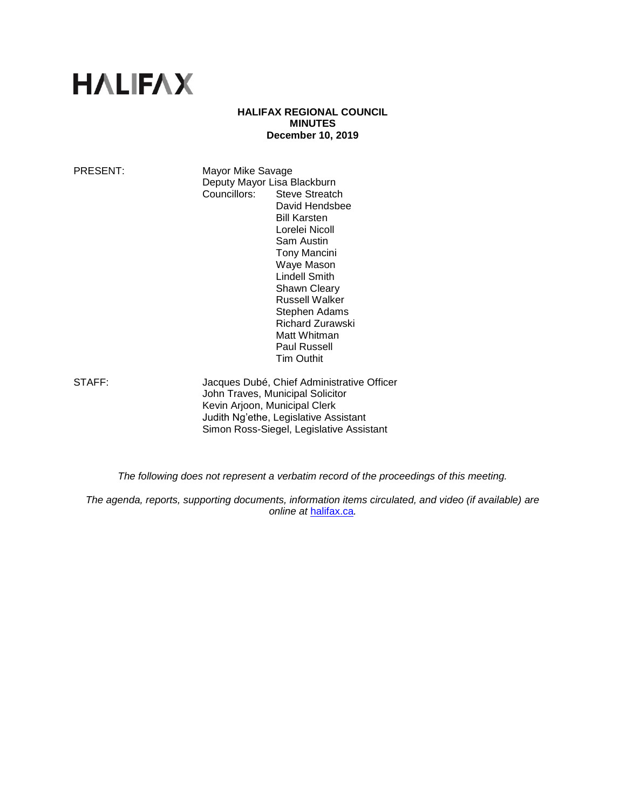# **HALIFAX**

#### **HALIFAX REGIONAL COUNCIL MINUTES December 10, 2019**

PRESENT: Mayor Mike Savage Deputy Mayor Lisa Blackburn Councillors: Steve Streatch David Hendsbee Bill Karsten Lorelei Nicoll Sam Austin Tony Mancini Waye Mason Lindell Smith Shawn Cleary Russell Walker Stephen Adams Richard Zurawski Matt Whitman Paul Russell Tim Outhit

STAFF: Jacques Dubé, Chief Administrative Officer John Traves, Municipal Solicitor Kevin Arjoon, Municipal Clerk Judith Ng'ethe, Legislative Assistant Simon Ross-Siegel, Legislative Assistant

*The following does not represent a verbatim record of the proceedings of this meeting.*

*The agenda, reports, supporting documents, information items circulated, and video (if available) are online at* [halifax.ca](http://www.halifax.ca/)*.*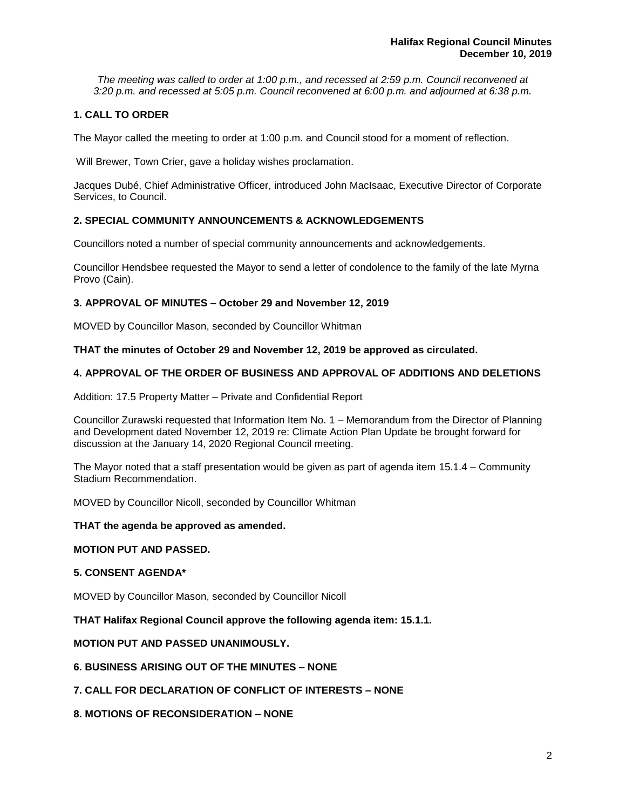*The meeting was called to order at 1:00 p.m., and recessed at 2:59 p.m. Council reconvened at 3:20 p.m. and recessed at 5:05 p.m. Council reconvened at 6:00 p.m. and adjourned at 6:38 p.m.*

# **1. CALL TO ORDER**

The Mayor called the meeting to order at 1:00 p.m. and Council stood for a moment of reflection.

Will Brewer, Town Crier, gave a holiday wishes proclamation.

Jacques Dubé, Chief Administrative Officer, introduced John MacIsaac, Executive Director of Corporate Services, to Council.

## **2. SPECIAL COMMUNITY ANNOUNCEMENTS & ACKNOWLEDGEMENTS**

Councillors noted a number of special community announcements and acknowledgements.

Councillor Hendsbee requested the Mayor to send a letter of condolence to the family of the late Myrna Provo (Cain).

## **3. APPROVAL OF MINUTES – October 29 and November 12, 2019**

MOVED by Councillor Mason, seconded by Councillor Whitman

**THAT the minutes of October 29 and November 12, 2019 be approved as circulated.**

# **4. APPROVAL OF THE ORDER OF BUSINESS AND APPROVAL OF ADDITIONS AND DELETIONS**

Addition: 17.5 Property Matter – Private and Confidential Report

Councillor Zurawski requested that Information Item No. 1 – Memorandum from the Director of Planning and Development dated November 12, 2019 re: Climate Action Plan Update be brought forward for discussion at the January 14, 2020 Regional Council meeting.

The Mayor noted that a staff presentation would be given as part of agenda item 15.1.4 – Community Stadium Recommendation.

MOVED by Councillor Nicoll, seconded by Councillor Whitman

#### **THAT the agenda be approved as amended.**

#### **MOTION PUT AND PASSED.**

## **5. CONSENT AGENDA\***

MOVED by Councillor Mason, seconded by Councillor Nicoll

**THAT Halifax Regional Council approve the following agenda item: 15.1.1.**

#### **MOTION PUT AND PASSED UNANIMOUSLY.**

#### **6. BUSINESS ARISING OUT OF THE MINUTES – NONE**

## **7. CALL FOR DECLARATION OF CONFLICT OF INTERESTS – NONE**

## **8. MOTIONS OF RECONSIDERATION – NONE**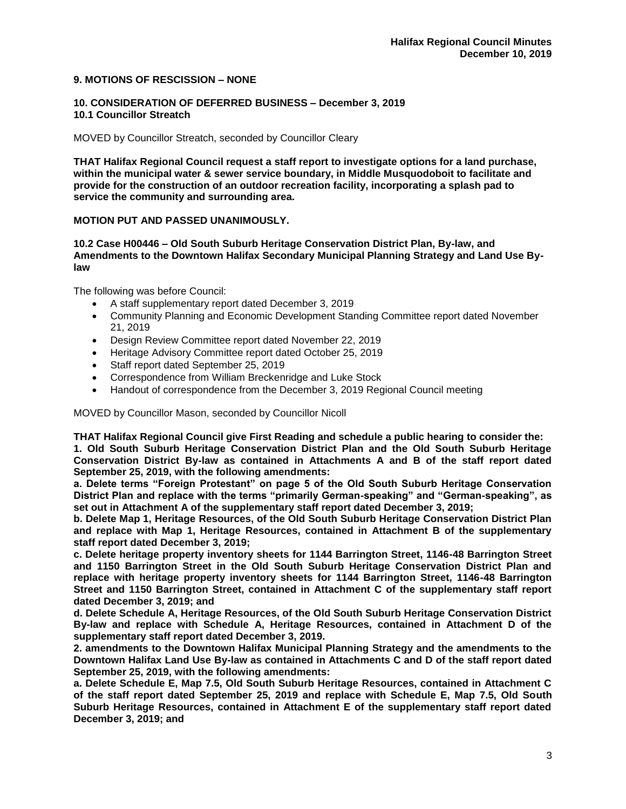## **9. MOTIONS OF RESCISSION – NONE**

#### **10. CONSIDERATION OF DEFERRED BUSINESS – December 3, 2019 10.1 Councillor Streatch**

MOVED by Councillor Streatch, seconded by Councillor Cleary

**THAT Halifax Regional Council request a staff report to investigate options for a land purchase, within the municipal water & sewer service boundary, in Middle Musquodoboit to facilitate and provide for the construction of an outdoor recreation facility, incorporating a splash pad to service the community and surrounding area.**

## **MOTION PUT AND PASSED UNANIMOUSLY.**

**10.2 Case H00446 – Old South Suburb Heritage Conservation District Plan, By-law, and Amendments to the Downtown Halifax Secondary Municipal Planning Strategy and Land Use Bylaw**

The following was before Council:

- A staff supplementary report dated December 3, 2019
- Community Planning and Economic Development Standing Committee report dated November 21, 2019
- Design Review Committee report dated November 22, 2019
- Heritage Advisory Committee report dated October 25, 2019
- Staff report dated September 25, 2019
- Correspondence from William Breckenridge and Luke Stock
- Handout of correspondence from the December 3, 2019 Regional Council meeting

MOVED by Councillor Mason, seconded by Councillor Nicoll

**THAT Halifax Regional Council give First Reading and schedule a public hearing to consider the:**

**1. Old South Suburb Heritage Conservation District Plan and the Old South Suburb Heritage Conservation District By-law as contained in Attachments A and B of the staff report dated September 25, 2019, with the following amendments:**

**a. Delete terms "Foreign Protestant" on page 5 of the Old South Suburb Heritage Conservation District Plan and replace with the terms "primarily German-speaking" and "German-speaking", as set out in Attachment A of the supplementary staff report dated December 3, 2019;**

**b. Delete Map 1, Heritage Resources, of the Old South Suburb Heritage Conservation District Plan and replace with Map 1, Heritage Resources, contained in Attachment B of the supplementary staff report dated December 3, 2019;**

**c. Delete heritage property inventory sheets for 1144 Barrington Street, 1146-48 Barrington Street and 1150 Barrington Street in the Old South Suburb Heritage Conservation District Plan and replace with heritage property inventory sheets for 1144 Barrington Street, 1146-48 Barrington Street and 1150 Barrington Street, contained in Attachment C of the supplementary staff report dated December 3, 2019; and**

**d. Delete Schedule A, Heritage Resources, of the Old South Suburb Heritage Conservation District By-law and replace with Schedule A, Heritage Resources, contained in Attachment D of the supplementary staff report dated December 3, 2019.**

**2. amendments to the Downtown Halifax Municipal Planning Strategy and the amendments to the Downtown Halifax Land Use By-law as contained in Attachments C and D of the staff report dated September 25, 2019, with the following amendments:**

**a. Delete Schedule E, Map 7.5, Old South Suburb Heritage Resources, contained in Attachment C of the staff report dated September 25, 2019 and replace with Schedule E, Map 7.5, Old South Suburb Heritage Resources, contained in Attachment E of the supplementary staff report dated December 3, 2019; and**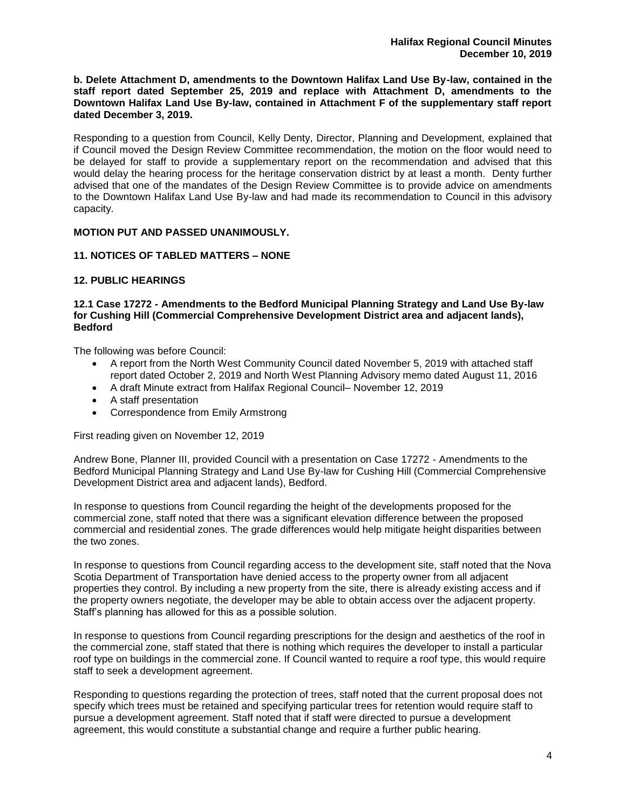**b. Delete Attachment D, amendments to the Downtown Halifax Land Use By-law, contained in the staff report dated September 25, 2019 and replace with Attachment D, amendments to the Downtown Halifax Land Use By-law, contained in Attachment F of the supplementary staff report dated December 3, 2019.**

Responding to a question from Council, Kelly Denty, Director, Planning and Development, explained that if Council moved the Design Review Committee recommendation, the motion on the floor would need to be delayed for staff to provide a supplementary report on the recommendation and advised that this would delay the hearing process for the heritage conservation district by at least a month. Denty further advised that one of the mandates of the Design Review Committee is to provide advice on amendments to the Downtown Halifax Land Use By-law and had made its recommendation to Council in this advisory capacity.

# **MOTION PUT AND PASSED UNANIMOUSLY.**

# **11. NOTICES OF TABLED MATTERS – NONE**

## **12. PUBLIC HEARINGS**

## **12.1 Case 17272 - Amendments to the Bedford Municipal Planning Strategy and Land Use By-law for Cushing Hill (Commercial Comprehensive Development District area and adjacent lands), Bedford**

The following was before Council:

- A report from the North West Community Council dated November 5, 2019 with attached staff report dated October 2, 2019 and North West Planning Advisory memo dated August 11, 2016
- A draft Minute extract from Halifax Regional Council– November 12, 2019
- A staff presentation
- Correspondence from Emily Armstrong

First reading given on November 12, 2019

Andrew Bone, Planner III, provided Council with a presentation on Case 17272 - Amendments to the Bedford Municipal Planning Strategy and Land Use By-law for Cushing Hill (Commercial Comprehensive Development District area and adjacent lands), Bedford.

In response to questions from Council regarding the height of the developments proposed for the commercial zone, staff noted that there was a significant elevation difference between the proposed commercial and residential zones. The grade differences would help mitigate height disparities between the two zones.

In response to questions from Council regarding access to the development site, staff noted that the Nova Scotia Department of Transportation have denied access to the property owner from all adjacent properties they control. By including a new property from the site, there is already existing access and if the property owners negotiate, the developer may be able to obtain access over the adjacent property. Staff's planning has allowed for this as a possible solution.

In response to questions from Council regarding prescriptions for the design and aesthetics of the roof in the commercial zone, staff stated that there is nothing which requires the developer to install a particular roof type on buildings in the commercial zone. If Council wanted to require a roof type, this would require staff to seek a development agreement.

Responding to questions regarding the protection of trees, staff noted that the current proposal does not specify which trees must be retained and specifying particular trees for retention would require staff to pursue a development agreement. Staff noted that if staff were directed to pursue a development agreement, this would constitute a substantial change and require a further public hearing.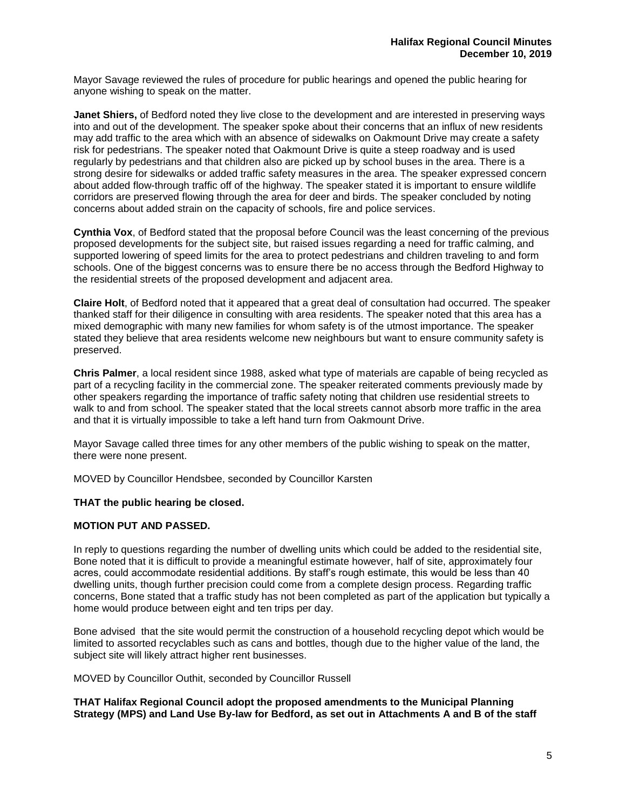Mayor Savage reviewed the rules of procedure for public hearings and opened the public hearing for anyone wishing to speak on the matter.

**Janet Shiers,** of Bedford noted they live close to the development and are interested in preserving ways into and out of the development. The speaker spoke about their concerns that an influx of new residents may add traffic to the area which with an absence of sidewalks on Oakmount Drive may create a safety risk for pedestrians. The speaker noted that Oakmount Drive is quite a steep roadway and is used regularly by pedestrians and that children also are picked up by school buses in the area. There is a strong desire for sidewalks or added traffic safety measures in the area. The speaker expressed concern about added flow-through traffic off of the highway. The speaker stated it is important to ensure wildlife corridors are preserved flowing through the area for deer and birds. The speaker concluded by noting concerns about added strain on the capacity of schools, fire and police services.

**Cynthia Vox**, of Bedford stated that the proposal before Council was the least concerning of the previous proposed developments for the subject site, but raised issues regarding a need for traffic calming, and supported lowering of speed limits for the area to protect pedestrians and children traveling to and form schools. One of the biggest concerns was to ensure there be no access through the Bedford Highway to the residential streets of the proposed development and adjacent area.

**Claire Holt**, of Bedford noted that it appeared that a great deal of consultation had occurred. The speaker thanked staff for their diligence in consulting with area residents. The speaker noted that this area has a mixed demographic with many new families for whom safety is of the utmost importance. The speaker stated they believe that area residents welcome new neighbours but want to ensure community safety is preserved.

**Chris Palmer**, a local resident since 1988, asked what type of materials are capable of being recycled as part of a recycling facility in the commercial zone. The speaker reiterated comments previously made by other speakers regarding the importance of traffic safety noting that children use residential streets to walk to and from school. The speaker stated that the local streets cannot absorb more traffic in the area and that it is virtually impossible to take a left hand turn from Oakmount Drive.

Mayor Savage called three times for any other members of the public wishing to speak on the matter, there were none present.

MOVED by Councillor Hendsbee, seconded by Councillor Karsten

#### **THAT the public hearing be closed.**

#### **MOTION PUT AND PASSED.**

In reply to questions regarding the number of dwelling units which could be added to the residential site, Bone noted that it is difficult to provide a meaningful estimate however, half of site, approximately four acres, could accommodate residential additions. By staff's rough estimate, this would be less than 40 dwelling units, though further precision could come from a complete design process. Regarding traffic concerns, Bone stated that a traffic study has not been completed as part of the application but typically a home would produce between eight and ten trips per day.

Bone advised that the site would permit the construction of a household recycling depot which would be limited to assorted recyclables such as cans and bottles, though due to the higher value of the land, the subject site will likely attract higher rent businesses.

MOVED by Councillor Outhit, seconded by Councillor Russell

**THAT Halifax Regional Council adopt the proposed amendments to the Municipal Planning Strategy (MPS) and Land Use By-law for Bedford, as set out in Attachments A and B of the staff**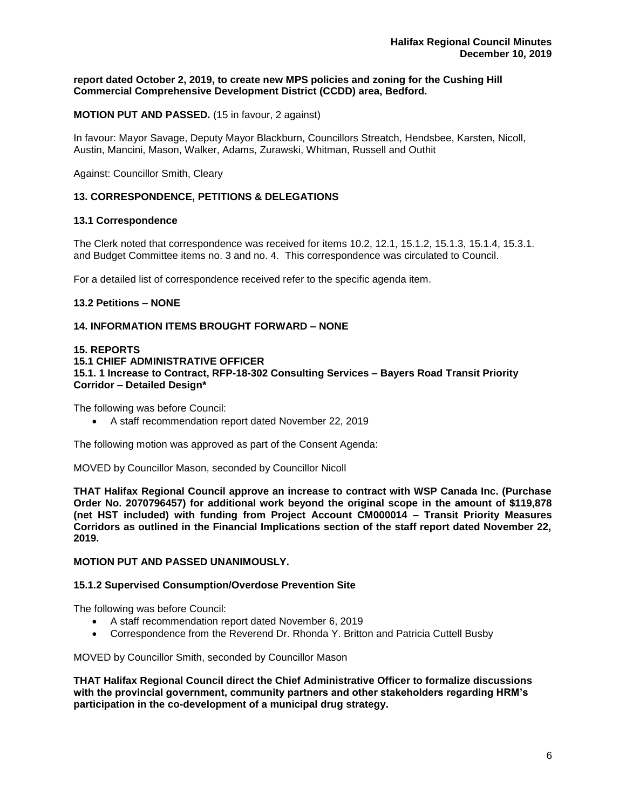#### **report dated October 2, 2019, to create new MPS policies and zoning for the Cushing Hill Commercial Comprehensive Development District (CCDD) area, Bedford.**

## **MOTION PUT AND PASSED.** (15 in favour, 2 against)

In favour: Mayor Savage, Deputy Mayor Blackburn, Councillors Streatch, Hendsbee, Karsten, Nicoll, Austin, Mancini, Mason, Walker, Adams, Zurawski, Whitman, Russell and Outhit

Against: Councillor Smith, Cleary

## **13. CORRESPONDENCE, PETITIONS & DELEGATIONS**

#### **13.1 Correspondence**

The Clerk noted that correspondence was received for items 10.2, 12.1, 15.1.2, 15.1.3, 15.1.4, 15.3.1. and Budget Committee items no. 3 and no. 4. This correspondence was circulated to Council.

For a detailed list of correspondence received refer to the specific agenda item.

## **13.2 Petitions – NONE**

## **14. INFORMATION ITEMS BROUGHT FORWARD – NONE**

#### **15. REPORTS**

# **15.1 CHIEF ADMINISTRATIVE OFFICER 15.1. 1 Increase to Contract, RFP-18-302 Consulting Services – Bayers Road Transit Priority Corridor – Detailed Design\***

The following was before Council:

• A staff recommendation report dated November 22, 2019

The following motion was approved as part of the Consent Agenda:

MOVED by Councillor Mason, seconded by Councillor Nicoll

**THAT Halifax Regional Council approve an increase to contract with WSP Canada Inc. (Purchase Order No. 2070796457) for additional work beyond the original scope in the amount of \$119,878 (net HST included) with funding from Project Account CM000014 – Transit Priority Measures Corridors as outlined in the Financial Implications section of the staff report dated November 22, 2019.**

## **MOTION PUT AND PASSED UNANIMOUSLY.**

#### **15.1.2 Supervised Consumption/Overdose Prevention Site**

The following was before Council:

- A staff recommendation report dated November 6, 2019
- Correspondence from the Reverend Dr. Rhonda Y. Britton and Patricia Cuttell Busby

MOVED by Councillor Smith, seconded by Councillor Mason

**THAT Halifax Regional Council direct the Chief Administrative Officer to formalize discussions with the provincial government, community partners and other stakeholders regarding HRM's participation in the co-development of a municipal drug strategy.**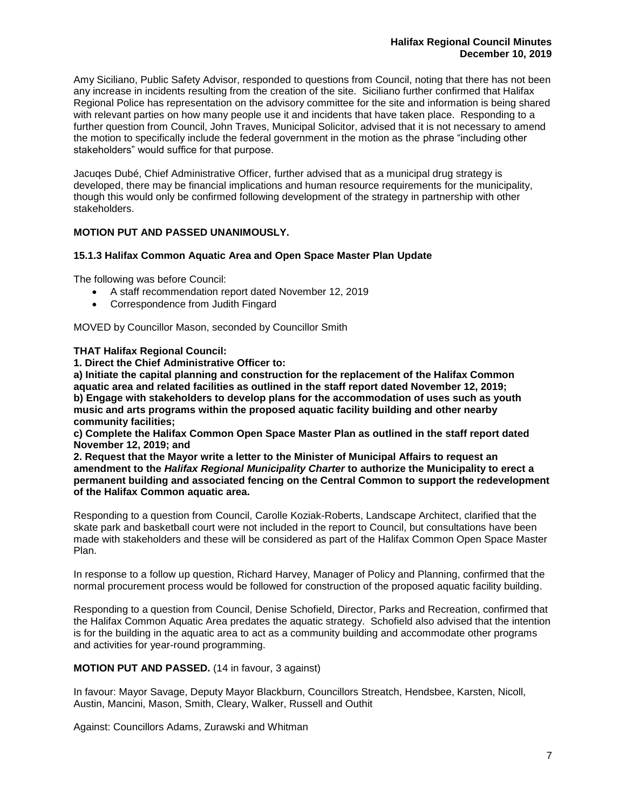Amy Siciliano, Public Safety Advisor, responded to questions from Council, noting that there has not been any increase in incidents resulting from the creation of the site. Siciliano further confirmed that Halifax Regional Police has representation on the advisory committee for the site and information is being shared with relevant parties on how many people use it and incidents that have taken place. Responding to a further question from Council, John Traves, Municipal Solicitor, advised that it is not necessary to amend the motion to specifically include the federal government in the motion as the phrase "including other stakeholders" would suffice for that purpose.

Jacuqes Dubé, Chief Administrative Officer, further advised that as a municipal drug strategy is developed, there may be financial implications and human resource requirements for the municipality, though this would only be confirmed following development of the strategy in partnership with other stakeholders.

## **MOTION PUT AND PASSED UNANIMOUSLY.**

## **15.1.3 Halifax Common Aquatic Area and Open Space Master Plan Update**

The following was before Council:

- A staff recommendation report dated November 12, 2019
- Correspondence from Judith Fingard

MOVED by Councillor Mason, seconded by Councillor Smith

**THAT Halifax Regional Council:**

**1. Direct the Chief Administrative Officer to:**

**a) Initiate the capital planning and construction for the replacement of the Halifax Common aquatic area and related facilities as outlined in the staff report dated November 12, 2019; b) Engage with stakeholders to develop plans for the accommodation of uses such as youth music and arts programs within the proposed aquatic facility building and other nearby community facilities;**

**c) Complete the Halifax Common Open Space Master Plan as outlined in the staff report dated November 12, 2019; and**

**2. Request that the Mayor write a letter to the Minister of Municipal Affairs to request an amendment to the** *Halifax Regional Municipality Charter* **to authorize the Municipality to erect a permanent building and associated fencing on the Central Common to support the redevelopment of the Halifax Common aquatic area.** 

Responding to a question from Council, Carolle Koziak-Roberts, Landscape Architect, clarified that the skate park and basketball court were not included in the report to Council, but consultations have been made with stakeholders and these will be considered as part of the Halifax Common Open Space Master Plan.

In response to a follow up question, Richard Harvey, Manager of Policy and Planning, confirmed that the normal procurement process would be followed for construction of the proposed aquatic facility building.

Responding to a question from Council, Denise Schofield, Director, Parks and Recreation, confirmed that the Halifax Common Aquatic Area predates the aquatic strategy. Schofield also advised that the intention is for the building in the aquatic area to act as a community building and accommodate other programs and activities for year-round programming.

## **MOTION PUT AND PASSED.** (14 in favour, 3 against)

In favour: Mayor Savage, Deputy Mayor Blackburn, Councillors Streatch, Hendsbee, Karsten, Nicoll, Austin, Mancini, Mason, Smith, Cleary, Walker, Russell and Outhit

Against: Councillors Adams, Zurawski and Whitman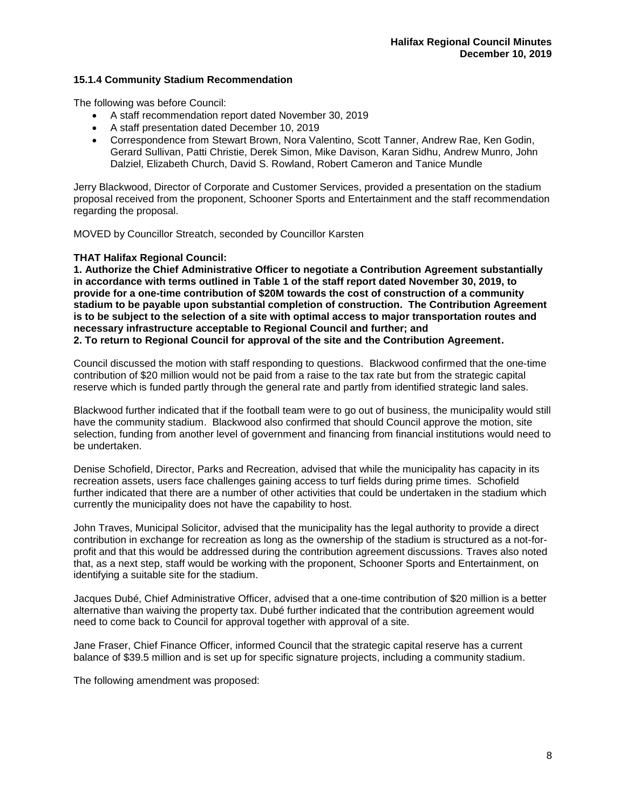#### **15.1.4 Community Stadium Recommendation**

The following was before Council:

- A staff recommendation report dated November 30, 2019
- A staff presentation dated December 10, 2019
- Correspondence from Stewart Brown, Nora Valentino, Scott Tanner, Andrew Rae, Ken Godin, Gerard Sullivan, Patti Christie, Derek Simon, Mike Davison, Karan Sidhu, Andrew Munro, John Dalziel, Elizabeth Church, David S. Rowland, Robert Cameron and Tanice Mundle

Jerry Blackwood, Director of Corporate and Customer Services, provided a presentation on the stadium proposal received from the proponent, Schooner Sports and Entertainment and the staff recommendation regarding the proposal.

MOVED by Councillor Streatch, seconded by Councillor Karsten

#### **THAT Halifax Regional Council:**

**1. Authorize the Chief Administrative Officer to negotiate a Contribution Agreement substantially in accordance with terms outlined in Table 1 of the staff report dated November 30, 2019, to provide for a one-time contribution of \$20M towards the cost of construction of a community stadium to be payable upon substantial completion of construction. The Contribution Agreement is to be subject to the selection of a site with optimal access to major transportation routes and necessary infrastructure acceptable to Regional Council and further; and 2. To return to Regional Council for approval of the site and the Contribution Agreement.**

Council discussed the motion with staff responding to questions. Blackwood confirmed that the one-time contribution of \$20 million would not be paid from a raise to the tax rate but from the strategic capital reserve which is funded partly through the general rate and partly from identified strategic land sales.

Blackwood further indicated that if the football team were to go out of business, the municipality would still have the community stadium. Blackwood also confirmed that should Council approve the motion, site selection, funding from another level of government and financing from financial institutions would need to be undertaken.

Denise Schofield, Director, Parks and Recreation, advised that while the municipality has capacity in its recreation assets, users face challenges gaining access to turf fields during prime times. Schofield further indicated that there are a number of other activities that could be undertaken in the stadium which currently the municipality does not have the capability to host.

John Traves, Municipal Solicitor, advised that the municipality has the legal authority to provide a direct contribution in exchange for recreation as long as the ownership of the stadium is structured as a not-forprofit and that this would be addressed during the contribution agreement discussions. Traves also noted that, as a next step, staff would be working with the proponent, Schooner Sports and Entertainment, on identifying a suitable site for the stadium.

Jacques Dubé, Chief Administrative Officer, advised that a one-time contribution of \$20 million is a better alternative than waiving the property tax. Dubé further indicated that the contribution agreement would need to come back to Council for approval together with approval of a site.

Jane Fraser, Chief Finance Officer, informed Council that the strategic capital reserve has a current balance of \$39.5 million and is set up for specific signature projects, including a community stadium.

The following amendment was proposed: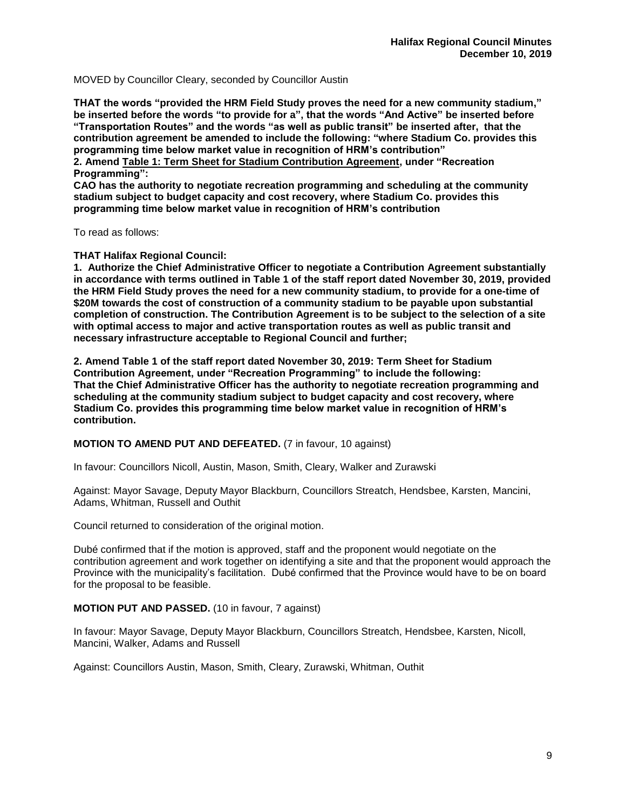MOVED by Councillor Cleary, seconded by Councillor Austin

**THAT the words "provided the HRM Field Study proves the need for a new community stadium," be inserted before the words "to provide for a", that the words "And Active" be inserted before "Transportation Routes" and the words "as well as public transit" be inserted after, that the contribution agreement be amended to include the following: "where Stadium Co. provides this programming time below market value in recognition of HRM's contribution" 2. Amend Table 1: Term Sheet for Stadium Contribution Agreement, under "Recreation** 

**Programming": CAO has the authority to negotiate recreation programming and scheduling at the community stadium subject to budget capacity and cost recovery, where Stadium Co. provides this programming time below market value in recognition of HRM's contribution**

To read as follows:

**THAT Halifax Regional Council:**

**1. Authorize the Chief Administrative Officer to negotiate a Contribution Agreement substantially in accordance with terms outlined in Table 1 of the staff report dated November 30, 2019, provided the HRM Field Study proves the need for a new community stadium, to provide for a one-time of \$20M towards the cost of construction of a community stadium to be payable upon substantial completion of construction. The Contribution Agreement is to be subject to the selection of a site with optimal access to major and active transportation routes as well as public transit and necessary infrastructure acceptable to Regional Council and further;**

**2. Amend Table 1 of the staff report dated November 30, 2019: Term Sheet for Stadium Contribution Agreement, under "Recreation Programming" to include the following: That the Chief Administrative Officer has the authority to negotiate recreation programming and scheduling at the community stadium subject to budget capacity and cost recovery, where Stadium Co. provides this programming time below market value in recognition of HRM's contribution.**

## **MOTION TO AMEND PUT AND DEFEATED.** (7 in favour, 10 against)

In favour: Councillors Nicoll, Austin, Mason, Smith, Cleary, Walker and Zurawski

Against: Mayor Savage, Deputy Mayor Blackburn, Councillors Streatch, Hendsbee, Karsten, Mancini, Adams, Whitman, Russell and Outhit

Council returned to consideration of the original motion.

Dubé confirmed that if the motion is approved, staff and the proponent would negotiate on the contribution agreement and work together on identifying a site and that the proponent would approach the Province with the municipality's facilitation. Dubé confirmed that the Province would have to be on board for the proposal to be feasible.

#### **MOTION PUT AND PASSED.** (10 in favour, 7 against)

In favour: Mayor Savage, Deputy Mayor Blackburn, Councillors Streatch, Hendsbee, Karsten, Nicoll, Mancini, Walker, Adams and Russell

Against: Councillors Austin, Mason, Smith, Cleary, Zurawski, Whitman, Outhit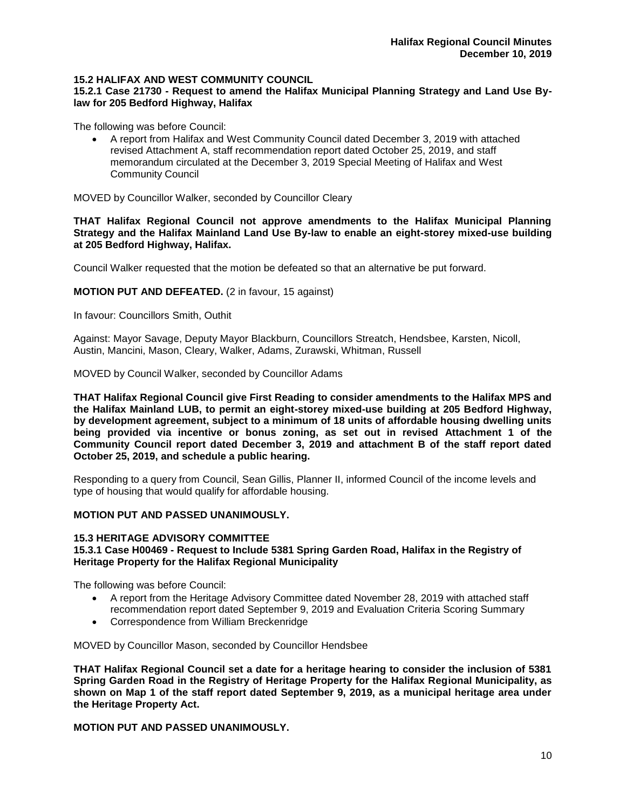## **15.2 HALIFAX AND WEST COMMUNITY COUNCIL**

#### **15.2.1 Case 21730 - Request to amend the Halifax Municipal Planning Strategy and Land Use Bylaw for 205 Bedford Highway, Halifax**

The following was before Council:

• A report from Halifax and West Community Council dated December 3, 2019 with attached revised Attachment A, staff recommendation report dated October 25, 2019, and staff memorandum circulated at the December 3, 2019 Special Meeting of Halifax and West Community Council

MOVED by Councillor Walker, seconded by Councillor Cleary

**THAT Halifax Regional Council not approve amendments to the Halifax Municipal Planning Strategy and the Halifax Mainland Land Use By-law to enable an eight-storey mixed-use building at 205 Bedford Highway, Halifax.**

Council Walker requested that the motion be defeated so that an alternative be put forward.

**MOTION PUT AND DEFEATED.** (2 in favour, 15 against)

In favour: Councillors Smith, Outhit

Against: Mayor Savage, Deputy Mayor Blackburn, Councillors Streatch, Hendsbee, Karsten, Nicoll, Austin, Mancini, Mason, Cleary, Walker, Adams, Zurawski, Whitman, Russell

MOVED by Council Walker, seconded by Councillor Adams

**THAT Halifax Regional Council give First Reading to consider amendments to the Halifax MPS and the Halifax Mainland LUB, to permit an eight-storey mixed-use building at 205 Bedford Highway, by development agreement, subject to a minimum of 18 units of affordable housing dwelling units being provided via incentive or bonus zoning, as set out in revised Attachment 1 of the Community Council report dated December 3, 2019 and attachment B of the staff report dated October 25, 2019, and schedule a public hearing.**

Responding to a query from Council, Sean Gillis, Planner II, informed Council of the income levels and type of housing that would qualify for affordable housing.

#### **MOTION PUT AND PASSED UNANIMOUSLY.**

#### **15.3 HERITAGE ADVISORY COMMITTEE**

## **15.3.1 Case H00469 - Request to Include 5381 Spring Garden Road, Halifax in the Registry of Heritage Property for the Halifax Regional Municipality**

The following was before Council:

- A report from the Heritage Advisory Committee dated November 28, 2019 with attached staff recommendation report dated September 9, 2019 and Evaluation Criteria Scoring Summary
- Correspondence from William Breckenridge

MOVED by Councillor Mason, seconded by Councillor Hendsbee

**THAT Halifax Regional Council set a date for a heritage hearing to consider the inclusion of 5381 Spring Garden Road in the Registry of Heritage Property for the Halifax Regional Municipality, as shown on Map 1 of the staff report dated September 9, 2019, as a municipal heritage area under the Heritage Property Act.** 

**MOTION PUT AND PASSED UNANIMOUSLY.**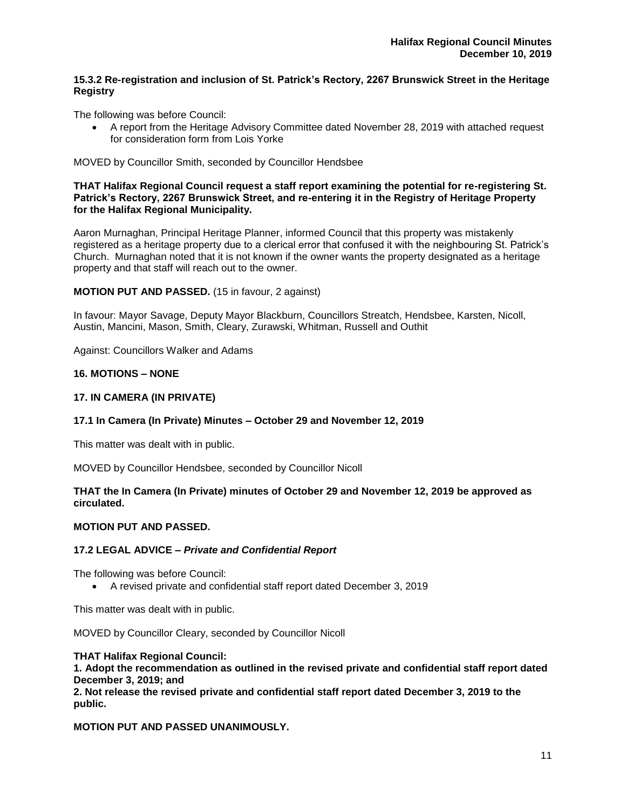## **15.3.2 Re-registration and inclusion of St. Patrick's Rectory, 2267 Brunswick Street in the Heritage Registry**

The following was before Council:

• A report from the Heritage Advisory Committee dated November 28, 2019 with attached request for consideration form from Lois Yorke

MOVED by Councillor Smith, seconded by Councillor Hendsbee

**THAT Halifax Regional Council request a staff report examining the potential for re-registering St. Patrick's Rectory, 2267 Brunswick Street, and re-entering it in the Registry of Heritage Property for the Halifax Regional Municipality.**

Aaron Murnaghan, Principal Heritage Planner, informed Council that this property was mistakenly registered as a heritage property due to a clerical error that confused it with the neighbouring St. Patrick's Church. Murnaghan noted that it is not known if the owner wants the property designated as a heritage property and that staff will reach out to the owner.

**MOTION PUT AND PASSED.** (15 in favour, 2 against)

In favour: Mayor Savage, Deputy Mayor Blackburn, Councillors Streatch, Hendsbee, Karsten, Nicoll, Austin, Mancini, Mason, Smith, Cleary, Zurawski, Whitman, Russell and Outhit

Against: Councillors Walker and Adams

## **16. MOTIONS – NONE**

## **17. IN CAMERA (IN PRIVATE)**

#### **17.1 In Camera (In Private) Minutes – October 29 and November 12, 2019**

This matter was dealt with in public.

MOVED by Councillor Hendsbee, seconded by Councillor Nicoll

## **THAT the In Camera (In Private) minutes of October 29 and November 12, 2019 be approved as circulated.**

#### **MOTION PUT AND PASSED.**

#### **17.2 LEGAL ADVICE –** *Private and Confidential Report*

The following was before Council:

• A revised private and confidential staff report dated December 3, 2019

This matter was dealt with in public.

MOVED by Councillor Cleary, seconded by Councillor Nicoll

**THAT Halifax Regional Council: 1. Adopt the recommendation as outlined in the revised private and confidential staff report dated December 3, 2019; and 2. Not release the revised private and confidential staff report dated December 3, 2019 to the** 

**public.**

**MOTION PUT AND PASSED UNANIMOUSLY.**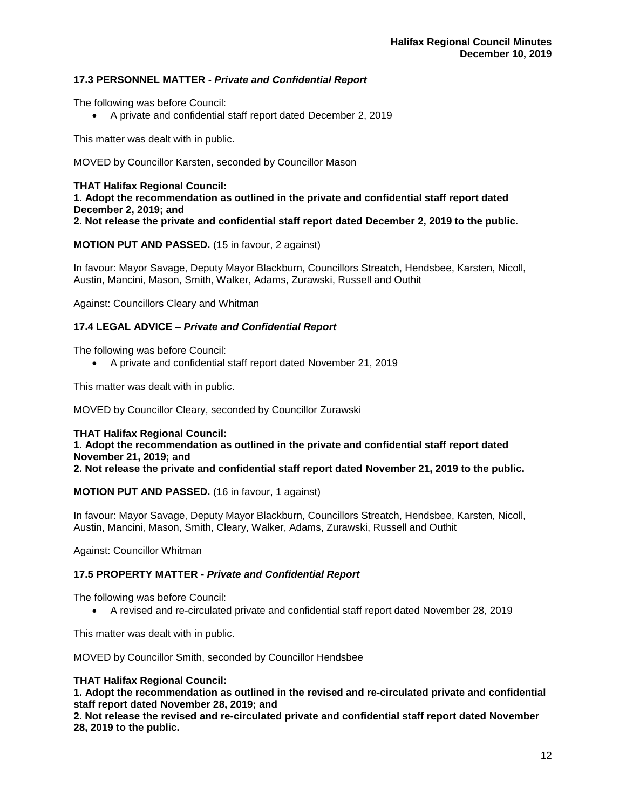## **17.3 PERSONNEL MATTER -** *Private and Confidential Report*

The following was before Council:

• A private and confidential staff report dated December 2, 2019

This matter was dealt with in public.

MOVED by Councillor Karsten, seconded by Councillor Mason

**THAT Halifax Regional Council: 1. Adopt the recommendation as outlined in the private and confidential staff report dated December 2, 2019; and 2. Not release the private and confidential staff report dated December 2, 2019 to the public.**

**MOTION PUT AND PASSED.** (15 in favour, 2 against)

In favour: Mayor Savage, Deputy Mayor Blackburn, Councillors Streatch, Hendsbee, Karsten, Nicoll, Austin, Mancini, Mason, Smith, Walker, Adams, Zurawski, Russell and Outhit

Against: Councillors Cleary and Whitman

#### **17.4 LEGAL ADVICE –** *Private and Confidential Report*

The following was before Council:

• A private and confidential staff report dated November 21, 2019

This matter was dealt with in public.

MOVED by Councillor Cleary, seconded by Councillor Zurawski

#### **THAT Halifax Regional Council:**

**1. Adopt the recommendation as outlined in the private and confidential staff report dated November 21, 2019; and**

**2. Not release the private and confidential staff report dated November 21, 2019 to the public.**

**MOTION PUT AND PASSED.** (16 in favour, 1 against)

In favour: Mayor Savage, Deputy Mayor Blackburn, Councillors Streatch, Hendsbee, Karsten, Nicoll, Austin, Mancini, Mason, Smith, Cleary, Walker, Adams, Zurawski, Russell and Outhit

Against: Councillor Whitman

#### **17.5 PROPERTY MATTER -** *Private and Confidential Report*

The following was before Council:

• A revised and re-circulated private and confidential staff report dated November 28, 2019

This matter was dealt with in public.

MOVED by Councillor Smith, seconded by Councillor Hendsbee

#### **THAT Halifax Regional Council:**

**1. Adopt the recommendation as outlined in the revised and re-circulated private and confidential staff report dated November 28, 2019; and**

**2. Not release the revised and re-circulated private and confidential staff report dated November 28, 2019 to the public.**